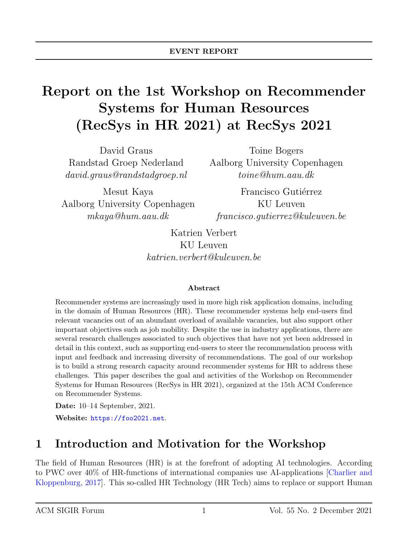# Report on the 1st Workshop on Recommender Systems for Human Resources (RecSys in HR 2021) at RecSys 2021

David Graus Randstad Groep Nederland david.graus@randstadgroep.nl

Mesut Kaya Aalborg University Copenhagen mkaya@hum.aau.dk

Toine Bogers Aalborg University Copenhagen toine@hum.aau.dk

Francisco Gutiérrez KU Leuven francisco.gutierrez@kuleuven.be

Katrien Verbert KU Leuven katrien.verbert@kuleuven.be

#### Abstract

Recommender systems are increasingly used in more high risk application domains, including in the domain of Human Resources (HR). These recommender systems help end-users find relevant vacancies out of an abundant overload of available vacancies, but also support other important objectives such as job mobility. Despite the use in industry applications, there are several research challenges associated to such objectives that have not yet been addressed in detail in this context, such as supporting end-users to steer the recommendation process with input and feedback and increasing diversity of recommendations. The goal of our workshop is to build a strong research capacity around recommender systems for HR to address these challenges. This paper describes the goal and activities of the Workshop on Recommender Systems for Human Resources (RecSys in HR 2021), organized at the 15th ACM Conference on Recommender Systems.

Date: 10–14 September, 2021.

Website: <https://foo2021.net>.

# 1 Introduction and Motivation for the Workshop

The field of Human Resources (HR) is at the forefront of adopting AI technologies. According to PWC over 40% of HR-functions of international companies use AI-applications [\[Charlier and](#page-10-0) [Kloppenburg,](#page-10-0) [2017\]](#page-10-0). This so-called HR Technology (HR Tech) aims to replace or support Human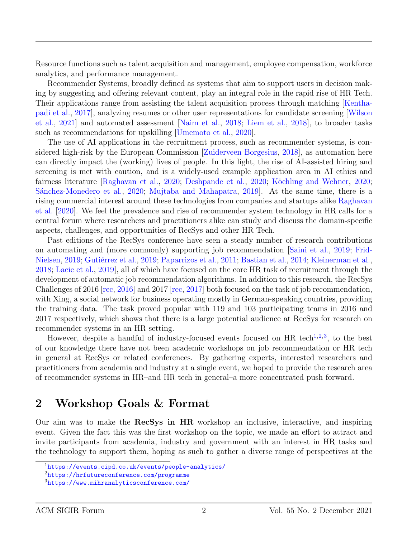Resource functions such as talent acquisition and management, employee compensation, workforce analytics, and performance management.

Recommender Systems, broadly defined as systems that aim to support users in decision making by suggesting and offering relevant content, play an integral role in the rapid rise of HR Tech. Their applications range from assisting the talent acquisition process through matching [\[Kentha](#page-11-0)[padi et al.,](#page-11-0) [2017\]](#page-11-0), analyzing resumes or other user representations for candidate screening [\[Wilson](#page-12-0) [et al.,](#page-12-0) [2021\]](#page-12-0) and automated assessment [\[Naim et al.,](#page-12-1) [2018;](#page-12-1) [Liem et al.,](#page-11-1) [2018\]](#page-11-1), to broader tasks such as recommendations for upskilling [\[Umemoto et al.,](#page-12-2) [2020\]](#page-12-2).

The use of AI applications in the recruitment process, such as recommender systems, is considered high-risk by the European Commission [\[Zuiderveen Borgesius,](#page-13-0) [2018\]](#page-13-0), as automation here can directly impact the (working) lives of people. In this light, the rise of AI-assisted hiring and screening is met with caution, and is a widely-used example application area in AI ethics and fairness literature [\[Raghavan et al.,](#page-12-3) [2020;](#page-11-2) [Deshpande et al.,](#page-10-1) 2020; Köchling and Wehner, 2020; Sánchez-Monedero et al., [2020;](#page-12-4) [Mujtaba and Mahapatra,](#page-11-3) 2019. At the same time, there is a rising commercial interest around these technologies from companies and startups alike [Raghavan](#page-12-3) [et al.](#page-12-3) [\[2020\]](#page-12-3). We feel the prevalence and rise of recommender system technology in HR calls for a central forum where researchers and practitioners alike can study and discuss the domain-specific aspects, challenges, and opportunities of RecSys and other HR Tech.

Past editions of the RecSys conference have seen a steady number of research contributions on automating and (more commonly) supporting job recommendation [\[Saini et al.,](#page-12-5) [2019;](#page-12-5) [Frid-](#page-10-2)[Nielsen,](#page-10-2) [2019;](#page-10-3) Gutiérrez et al., 2019; [Paparrizos et al.,](#page-12-6) [2011;](#page-12-6) [Bastian et al.,](#page-9-0) [2014;](#page-9-0) [Kleinerman et al.,](#page-11-4) [2018;](#page-11-4) [Lacic et al.,](#page-11-5) [2019\]](#page-11-5), all of which have focused on the core HR task of recruitment through the development of automatic job recommendation algorithms. In addition to this research, the RecSys Challenges of 2016 [\[rec,](#page-9-1) [2016\]](#page-9-1) and 2017 [\[rec,](#page-9-2) [2017\]](#page-9-2) both focused on the task of job recommendation, with Xing, a social network for business operating mostly in German-speaking countries, providing the training data. The task proved popular with 119 and 103 participating teams in 2016 and 2017 respectively, which shows that there is a large potential audience at RecSys for research on recommender systems in an HR setting.

However, despite a handful of industry-focused events focused on HR tech<sup>[1](#page-1-0),[2](#page-1-1),[3](#page-1-2)</sup>, to the best of our knowledge there have not been academic workshops on job recommendation or HR tech in general at RecSys or related conferences. By gathering experts, interested researchers and practitioners from academia and industry at a single event, we hoped to provide the research area of recommender systems in HR–and HR tech in general–a more concentrated push forward.

### 2 Workshop Goals & Format

Our aim was to make the RecSys in HR workshop an inclusive, interactive, and inspiring event. Given the fact this was the first workshop on the topic, we made an effort to attract and invite participants from academia, industry and government with an interest in HR tasks and the technology to support them, hoping as such to gather a diverse range of perspectives at the

<span id="page-1-0"></span><sup>1</sup><https://events.cipd.co.uk/events/people-analytics/>

<span id="page-1-1"></span><sup>2</sup><https://hrfutureconference.com/programme>

<span id="page-1-2"></span><sup>3</sup><https://www.mihranalyticsconference.com/>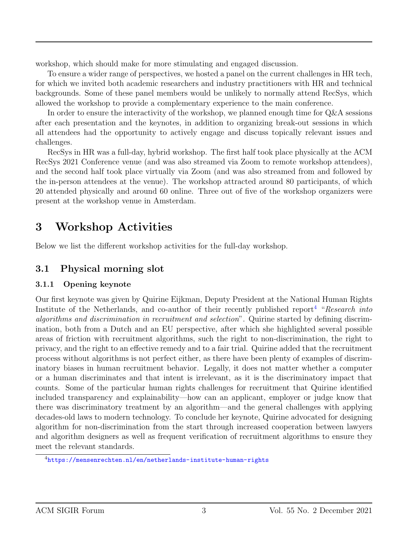workshop, which should make for more stimulating and engaged discussion.

To ensure a wider range of perspectives, we hosted a panel on the current challenges in HR tech, for which we invited both academic researchers and industry practitioners with HR and technical backgrounds. Some of these panel members would be unlikely to normally attend RecSys, which allowed the workshop to provide a complementary experience to the main conference.

In order to ensure the interactivity of the workshop, we planned enough time for Q&A sessions after each presentation and the keynotes, in addition to organizing break-out sessions in which all attendees had the opportunity to actively engage and discuss topically relevant issues and challenges.

RecSys in HR was a full-day, hybrid workshop. The first half took place physically at the ACM RecSys 2021 Conference venue (and was also streamed via Zoom to remote workshop attendees), and the second half took place virtually via Zoom (and was also streamed from and followed by the in-person attendees at the venue). The workshop attracted around 80 participants, of which 20 attended physically and around 60 online. Three out of five of the workshop organizers were present at the workshop venue in Amsterdam.

# 3 Workshop Activities

Below we list the different workshop activities for the full-day workshop.

### 3.1 Physical morning slot

#### 3.1.1 Opening keynote

Our first keynote was given by Quirine Eijkman, Deputy President at the National Human Rights Institute of the Netherlands, and co-author of their recently published report<sup>[4](#page-2-0)</sup> "Research into algorithms and discrimination in recruitment and selection". Quirine started by defining discrimination, both from a Dutch and an EU perspective, after which she highlighted several possible areas of friction with recruitment algorithms, such the right to non-discrimination, the right to privacy, and the right to an effective remedy and to a fair trial. Quirine added that the recruitment process without algorithms is not perfect either, as there have been plenty of examples of discriminatory biases in human recruitment behavior. Legally, it does not matter whether a computer or a human discriminates and that intent is irrelevant, as it is the discriminatory impact that counts. Some of the particular human rights challenges for recruitment that Quirine identified included transparency and explainability—how can an applicant, employer or judge know that there was discriminatory treatment by an algorithm—and the general challenges with applying decades-old laws to modern technology. To conclude her keynote, Quirine advocated for designing algorithm for non-discrimination from the start through increased cooperation between lawyers and algorithm designers as well as frequent verification of recruitment algorithms to ensure they meet the relevant standards.

<span id="page-2-0"></span><sup>4</sup><https://mensenrechten.nl/en/netherlands-institute-human-rights>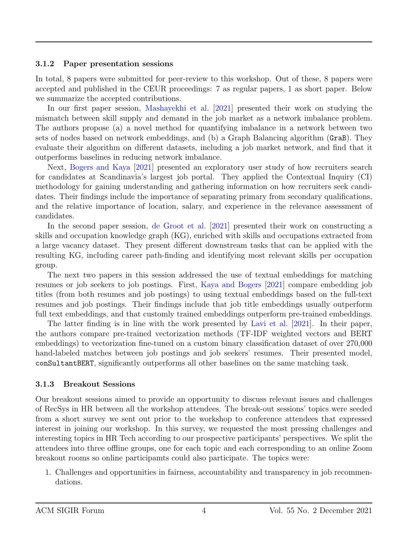#### 3.1.2 Paper presentation sessions

In total, 8 papers were submitted for peer-review to this workshop. Out of these, 8 papers were accepted and published in the CEUR proceedings: 7 as regular papers, 1 as short paper. Below we summarize the accepted contributions.

In our first paper session, [Mashayekhi et al.](#page-11-6) [\[2021\]](#page-11-6) presented their work on studying the mismatch between skill supply and demand in the job market as a network imbalance problem. The authors propose (a) a novel method for quantifying imbalance in a network between two sets of nodes based on network embeddings, and (b) a Graph Balancing algorithm (GraB). They evaluate their algorithm on different datasets, including a job market network, and find that it outperforms baselines in reducing network imbalance.

Next, [Bogers and Kaya](#page-9-3) [\[2021\]](#page-9-3) presented an exploratory user study of how recruiters search for candidates at Scandinavia's largest job portal. They applied the Contextual Inquiry (CI) methodology for gaining understanding and gathering information on how recruiters seek candidates. Their findings include the importance of separating primary from secondary qualifications, and the relative importance of location, salary, and experience in the relevance assessment of candidates.

In the second paper session, [de Groot et al.](#page-10-4) [\[2021\]](#page-10-4) presented their work on constructing a skills and occupation knowledge graph (KG), enriched with skills and occupations extracted from a large vacancy dataset. They present different downstream tasks that can be applied with the resulting KG, including career path-finding and identifying most relevant skills per occupation group.

The next two papers in this session addressed the use of textual embeddings for matching resumes or job seekers to job postings. First, [Kaya and Bogers](#page-10-5) [\[2021\]](#page-10-5) compare embedding job titles (from both resumes and job postings) to using textual embeddings based on the full-text resumes and job postings. Their findings include that job title embeddings usually outperform full text embeddings, and that customly trained embeddings outperform pre-trained embeddings.

The latter finding is in line with the work presented by [Lavi et al.](#page-11-7) [\[2021\]](#page-11-7). In their paper, the authors compare pre-trained vectorization methods (TF-IDF weighted vectors and BERT embeddings) to vectorization fine-tuned on a custom binary classification dataset of over 270,000 hand-labeled matches between job postings and job seekers' resumes. Their presented model, conSultantBERT, significantly outperforms all other baselines on the same matching task.

#### 3.1.3 Breakout Sessions

Our breakout sessions aimed to provide an opportunity to discuss relevant issues and challenges of RecSys in HR between all the workshop attendees. The break-out sessions' topics were seeded from a short survey we sent out prior to the workshop to conference attendees that expressed interest in joining our workshop. In this survey, we requested the most pressing challenges and interesting topics in HR Tech according to our prospective participants' perspectives. We split the attendees into three offline groups, one for each topic and each corresponding to an online Zoom breakout rooms so online participamts could also participate. The topics were:

1. Challenges and opportunities in fairness, accountability and transparency in job recommendations.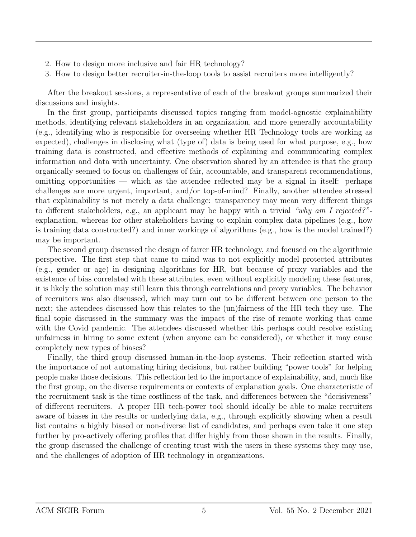- 2. How to design more inclusive and fair HR technology?
- 3. How to design better recruiter-in-the-loop tools to assist recruiters more intelligently?

After the breakout sessions, a representative of each of the breakout groups summarized their discussions and insights.

In the first group, participants discussed topics ranging from model-agnostic explainability methods, identifying relevant stakeholders in an organization, and more generally accountability (e.g., identifying who is responsible for overseeing whether HR Technology tools are working as expected), challenges in disclosing what (type of) data is being used for what purpose, e.g., how training data is constructed, and effective methods of explaining and communicating complex information and data with uncertainty. One observation shared by an attendee is that the group organically seemed to focus on challenges of fair, accountable, and transparent recommendations, omitting opportunities — which as the attendee reflected may be a signal in itself: perhaps challenges are more urgent, important, and/or top-of-mind? Finally, another attendee stressed that explainability is not merely a data challenge: transparency may mean very different things to different stakeholders, e.g., an applicant may be happy with a trivial "why am I rejected?"explanation, whereas for other stakeholders having to explain complex data pipelines (e.g., how is training data constructed?) and inner workings of algorithms (e.g., how is the model trained?) may be important.

The second group discussed the design of fairer HR technology, and focused on the algorithmic perspective. The first step that came to mind was to not explicitly model protected attributes (e.g., gender or age) in designing algorithms for HR, but because of proxy variables and the existence of bias correlated with these attributes, even without explicitly modeling these features, it is likely the solution may still learn this through correlations and proxy variables. The behavior of recruiters was also discussed, which may turn out to be different between one person to the next; the attendees discussed how this relates to the (un)fairness of the HR tech they use. The final topic discussed in the summary was the impact of the rise of remote working that came with the Covid pandemic. The attendees discussed whether this perhaps could resolve existing unfairness in hiring to some extent (when anyone can be considered), or whether it may cause completely new types of biases?

Finally, the third group discussed human-in-the-loop systems. Their reflection started with the importance of not automating hiring decisions, but rather building "power tools" for helping people make those decisions. This reflection led to the importance of explainability, and, much like the first group, on the diverse requirements or contexts of explanation goals. One characteristic of the recruitment task is the time costliness of the task, and differences between the "decisiveness" of different recruiters. A proper HR tech-power tool should ideally be able to make recruiters aware of biases in the results or underlying data, e.g., through explicitly showing when a result list contains a highly biased or non-diverse list of candidates, and perhaps even take it one step further by pro-actively offering profiles that differ highly from those shown in the results. Finally, the group discussed the challenge of creating trust with the users in these systems they may use, and the challenges of adoption of HR technology in organizations.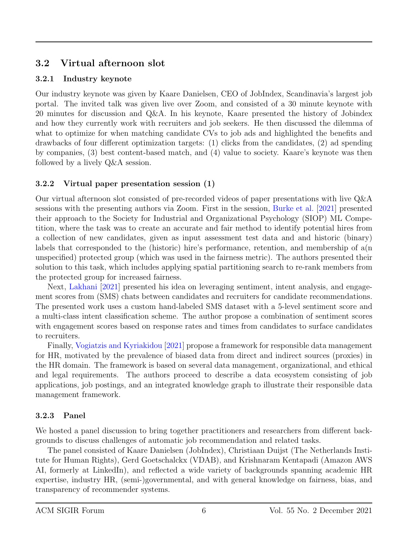### 3.2 Virtual afternoon slot

#### 3.2.1 Industry keynote

Our industry keynote was given by Kaare Danielsen, CEO of JobIndex, Scandinavia's largest job portal. The invited talk was given live over Zoom, and consisted of a 30 minute keynote with 20 minutes for discussion and Q&A. In his keynote, Kaare presented the history of Jobindex and how they currently work with recruiters and job seekers. He then discussed the dilemma of what to optimize for when matching candidate CVs to job ads and highlighted the benefits and drawbacks of four different optimization targets: (1) clicks from the candidates, (2) ad spending by companies, (3) best content-based match, and (4) value to society. Kaare's keynote was then followed by a lively Q&A session.

#### 3.2.2 Virtual paper presentation session (1)

Our virtual afternoon slot consisted of pre-recorded videos of paper presentations with live Q&A sessions with the presenting authors via Zoom. First in the session, [Burke et al.](#page-10-6) [\[2021\]](#page-10-6) presented their approach to the Society for Industrial and Organizational Psychology (SIOP) ML Competition, where the task was to create an accurate and fair method to identify potential hires from a collection of new candidates, given as input assessment test data and and historic (binary) labels that corresponded to the (historic) hire's performance, retention, and membership of  $a(n)$ unspecified) protected group (which was used in the fairness metric). The authors presented their solution to this task, which includes applying spatial partitioning search to re-rank members from the protected group for increased fairness.

Next, [Lakhani](#page-11-8) [\[2021\]](#page-11-8) presented his idea on leveraging sentiment, intent analysis, and engagement scores from (SMS) chats between candidates and recruiters for candidate recommendations. The presented work uses a custom hand-labeled SMS dataset with a 5-level sentiment score and a multi-class intent classification scheme. The author propose a combination of sentiment scores with engagement scores based on response rates and times from candidates to surface candidates to recruiters.

Finally, [Vogiatzis and Kyriakidou](#page-12-7) [\[2021\]](#page-12-7) propose a framework for responsible data management for HR, motivated by the prevalence of biased data from direct and indirect sources (proxies) in the HR domain. The framework is based on several data management, organizational, and ethical and legal requirements. The authors proceed to describe a data ecosystem consisting of job applications, job postings, and an integrated knowledge graph to illustrate their responsible data management framework.

### 3.2.3 Panel

We hosted a panel discussion to bring together practitioners and researchers from different backgrounds to discuss challenges of automatic job recommendation and related tasks.

The panel consisted of Kaare Danielsen (JobIndex), Christiaan Duijst (The Netherlands Institute for Human Rights), Gerd Goetschalckx (VDAB), and Krishnaram Kentapadi (Amazon AWS AI, formerly at LinkedIn), and reflected a wide variety of backgrounds spanning academic HR expertise, industry HR, (semi-)governmental, and with general knowledge on fairness, bias, and transparency of recommender systems.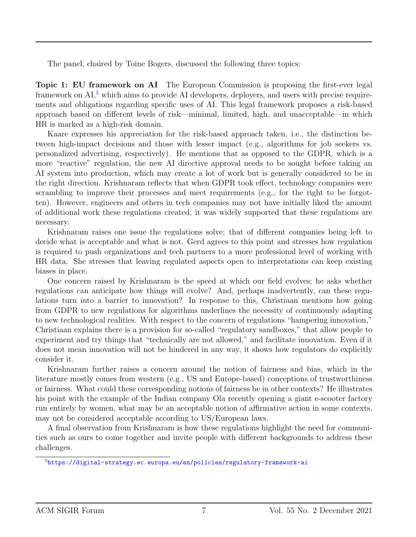The panel, chaired by Toine Bogers, discussed the following three topics:

Topic 1: EU framework on AI The European Commission is proposing the first-ever legal framework on  $AI<sub>2</sub><sup>5</sup>$  $AI<sub>2</sub><sup>5</sup>$  $AI<sub>2</sub><sup>5</sup>$  which aims to provide AI developers, deployers, and users with precise requirements and obligations regarding specific uses of AI. This legal framework proposes a risk-based approach based on different levels of risk—minimal, limited, high, and unacceptable—in which HR is marked as a high-risk domain.

Kaare expresses his appreciation for the risk-based approach taken, i.e., the distinction between high-impact decisions and those with lesser impact (e.g., algorithms for job seekers vs. personalized advertising, respectively). He mentions that as opposed to the GDPR, which is a more "reactive" regulation, the new AI directive approval needs to be sought before taking an AI system into production, which may create a lot of work but is generally considered to be in the right direction. Krishnaram reflects that when GDPR took effect, technology companies were scrambling to improve their processes and meet requirements (e.g., for the right to be forgotten). However, engineers and others in tech companies may not have initially liked the amount of additional work these regulations created; it was widely supported that these regulations are necessary.

Krishnaram raises one issue the regulations solve; that of different companies being left to decide what is acceptable and what is not. Gerd agrees to this point and stresses how regulation is required to push organizations and tech partners to a more professional level of working with HR data. She stresses that leaving regulated aspects open to interpretations can keep existing biases in place.

One concern raised by Krishnaram is the speed at which our field evolves; he asks whether regulations can anticipate how things will evolve? And, perhaps inadvertently, can these regulations turn into a barrier to innovation? In response to this, Christiaan mentions how going from GDPR to new regulations for algorithms underlines the necessity of continuously adapting to new technological realities. With respect to the concern of regulations "hampering innovation," Christiaan explains there is a provision for so-called "regulatory sandboxes," that allow people to experiment and try things that "technically are not allowed," and facilitate innovation. Even if it does not mean innovation will not be hindered in any way, it shows how regulators do explicitly consider it.

Krishnaram further raises a concern around the notion of fairness and bias, which in the literature mostly comes from western (e.g., US and Europe-based) conceptions of trustworthiness or fairness. What could these corresponding notions of fairness be in other contexts? He illustrates his point with the example of the Indian company Ola recently opening a giant e-scooter factory run entirely by women, what may be an acceptable notion of affirmative action in some contexts, may not be considered acceptable according to US/European laws.

A final observation from Krishnaram is how these regulations highlight the need for communities such as ours to come together and invite people with different backgrounds to address these challenges.

<span id="page-6-0"></span><sup>5</sup><https://digital-strategy.ec.europa.eu/en/policies/regulatory-framework-ai>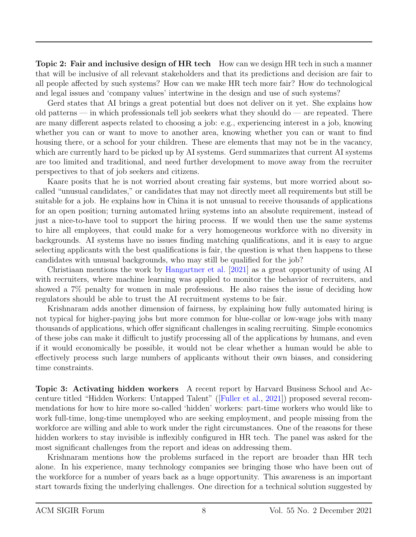Topic 2: Fair and inclusive design of HR tech How can we design HR tech in such a manner that will be inclusive of all relevant stakeholders and that its predictions and decision are fair to all people affected by such systems? How can we make HR tech more fair? How do technological and legal issues and 'company values' intertwine in the design and use of such systems?

Gerd states that AI brings a great potential but does not deliver on it yet. She explains how old patterns — in which professionals tell job seekers what they should  $d\sigma$  — are repeated. There are many different aspects related to choosing a job: e.g., experiencing interest in a job, knowing whether you can or want to move to another area, knowing whether you can or want to find housing there, or a school for your children. These are elements that may not be in the vacancy, which are currently hard to be picked up by AI systems. Gerd summarizes that current AI systems are too limited and traditional, and need further development to move away from the recruiter perspectives to that of job seekers and citizens.

Kaare posits that he is not worried about creating fair systems, but more worried about socalled "unusual candidates," or candidates that may not directly meet all requirements but still be suitable for a job. He explains how in China it is not unusual to receive thousands of applications for an open position; turning automated hriing systems into an absolute requirement, instead of just a nice-to-have tool to support the hiring process. If we would then use the same systems to hire all employees, that could make for a very homogeneous workforce with no diversity in backgrounds. AI systems have no issues finding matching qualifications, and it is easy to argue selecting applicants with the best qualifications is fair, the question is what then happens to these candidates with unusual backgrounds, who may still be qualified for the job?

Christiaan mentions the work by [Hangartner et al.](#page-10-7) [\[2021\]](#page-10-7) as a great opportunity of using AI with recruiters, where machine learning was applied to monitor the behavior of recruiters, and showed a 7% penalty for women in male professions. He also raises the issue of deciding how regulators should be able to trust the AI recruitment systems to be fair.

Krishnaram adds another dimension of fairness, by explaining how fully automated hiring is not typical for higher-paying jobs but more common for blue-collar or low-wage jobs with many thousands of applications, which offer significant challenges in scaling recruiting. Simple economics of these jobs can make it difficult to justify processing all of the applications by humans, and even if it would economically be possible, it would not be clear whether a human would be able to effectively process such large numbers of applicants without their own biases, and considering time constraints.

Topic 3: Activating hidden workers A recent report by Harvard Business School and Accenture titled "Hidden Workers: Untapped Talent" ([\[Fuller et al.,](#page-10-8) [2021\]](#page-10-8)) proposed several recommendations for how to hire more so-called 'hidden' workers: part-time workers who would like to work full-time, long-time unemployed who are seeking employment, and people missing from the workforce are willing and able to work under the right circumstances. One of the reasons for these hidden workers to stay invisible is inflexibly configured in HR tech. The panel was asked for the most significant challenges from the report and ideas on addressing them.

Krishnaram mentions how the problems surfaced in the report are broader than HR tech alone. In his experience, many technology companies see bringing those who have been out of the workforce for a number of years back as a huge opportunity. This awareness is an important start towards fixing the underlying challenges. One direction for a technical solution suggested by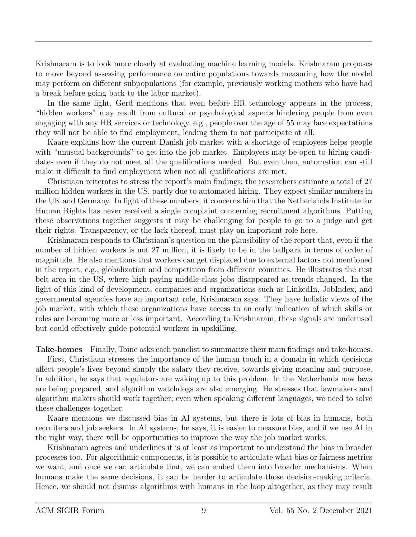Krishnaram is to look more closely at evaluating machine learning models. Krishnaram proposes to move beyond assessing performance on entire populations towards measuring how the model may perform on different subpopulations (for example, previously working mothers who have had a break before going back to the labor market).

In the same light, Gerd mentions that even before HR technology appears in the process, "hidden workers" may result from cultural or psychological aspects hindering people from even engaging with any HR services or technology, e.g., people over the age of 55 may face expectations they will not be able to find employment, leading them to not participate at all.

Kaare explains how the current Danish job market with a shortage of employees helps people with "unusual backgrounds" to get into the job market. Employers may be open to hiring candidates even if they do not meet all the qualifications needed. But even then, automation can still make it difficult to find employment when not all qualifications are met.

Christiaan reiterates to stress the report's main findings; the researchers estimate a total of 27 million hidden workers in the US, partly due to automated hiring. They expect similar numbers in the UK and Germany. In light of these numbers, it concerns him that the Netherlands Institute for Human Rights has never received a single complaint concerning recruitment algorithms. Putting these observations together suggests it may be challenging for people to go to a judge and get their rights. Transparency, or the lack thereof, must play an important role here.

Krishnaram responds to Christiaan's question on the plausibility of the report that, even if the number of hidden workers is not 27 million, it is likely to be in the ballpark in terms of order of magnitude. He also mentions that workers can get displaced due to external factors not mentioned in the report, e.g., globalization and competition from different countries. He illustrates the rust belt area in the US, where high-paying middle-class jobs disappeared as trends changed. In the light of this kind of development, companies and organizations such as LinkedIn, JobIndex, and governmental agencies have an important role, Krishnaram says. They have holistic views of the job market, with which these organizations have access to an early indication of which skills or roles are becoming more or less important. According to Krishnaram, these signals are underused but could effectively guide potential workers in upskilling.

Take-homes Finally, Toine asks each panelist to summarize their main findings and take-homes.

First, Christiaan stresses the importance of the human touch in a domain in which decisions affect people's lives beyond simply the salary they receive, towards giving meaning and purpose. In addition, he says that regulators are waking up to this problem. In the Netherlands new laws are being prepared, and algorithm watchdogs are also emerging. He stresses that lawmakers and algorithm makers should work together; even when speaking different languages, we need to solve these challenges together.

Kaare mentions we discussed bias in AI systems, but there is lots of bias in humans, both recruiters and job seekers. In AI systems, he says, it is easier to measure bias, and if we use AI in the right way, there will be opportunities to improve the way the job market works.

Krishnaram agrees and underlines it is at least as important to understand the bias in broader processes too. For algorithmic components, it is possible to articulate what bias or fairness metrics we want, and once we can articulate that, we can embed them into broader mechanisms. When humans make the same decisions, it can be harder to articulate those decision-making criteria. Hence, we should not dismiss algorithms with humans in the loop altogether, as they may result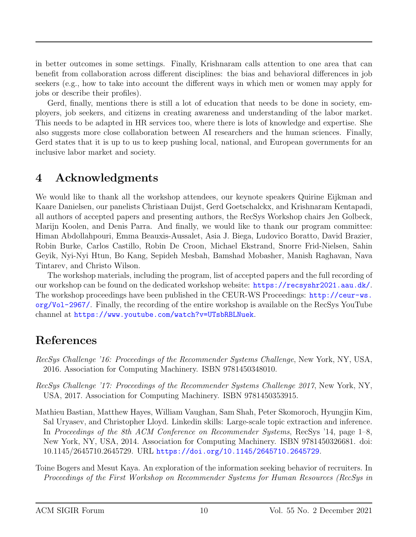in better outcomes in some settings. Finally, Krishnaram calls attention to one area that can benefit from collaboration across different disciplines: the bias and behavioral differences in job seekers (e.g., how to take into account the different ways in which men or women may apply for jobs or describe their profiles).

Gerd, finally, mentions there is still a lot of education that needs to be done in society, employers, job seekers, and citizens in creating awareness and understanding of the labor market. This needs to be adapted in HR services too, where there is lots of knowledge and expertise. She also suggests more close collaboration between AI researchers and the human sciences. Finally, Gerd states that it is up to us to keep pushing local, national, and European governments for an inclusive labor market and society.

## 4 Acknowledgments

We would like to thank all the workshop attendees, our keynote speakers Quirine Eijkman and Kaare Danielsen, our panelists Christiaan Duijst, Gerd Goetschalckx, and Krishnaram Kentapadi, all authors of accepted papers and presenting authors, the RecSys Workshop chairs Jen Golbeck, Marijn Koolen, and Denis Parra. And finally, we would like to thank our program committee: Himan Abdollahpouri, Emma Beauxis-Aussalet, Asia J. Biega, Ludovico Boratto, David Brazier, Robin Burke, Carlos Castillo, Robin De Croon, Michael Ekstrand, Snorre Frid-Nielsen, Sahin Geyik, Nyi-Nyi Htun, Bo Kang, Sepideh Mesbah, Bamshad Mobasher, Manish Raghavan, Nava Tintarev, and Christo Wilson.

The workshop materials, including the program, list of accepted papers and the full recording of our workshop can be found on the dedicated workshop website: <https://recsyshr2021.aau.dk/>. The workshop proceedings have been published in the CEUR-WS Proceedings: [http://ceur-ws.](http://ceur-ws.org/Vol-2967/) [org/Vol-2967/](http://ceur-ws.org/Vol-2967/). Finally, the recording of the entire workshop is available on the RecSys YouTube channel at <https://www.youtube.com/watch?v=UTsbRBLNuek>.

# References

- <span id="page-9-1"></span>RecSys Challenge '16: Proceedings of the Recommender Systems Challenge, New York, NY, USA, 2016. Association for Computing Machinery. ISBN 9781450348010.
- <span id="page-9-2"></span>RecSys Challenge '17: Proceedings of the Recommender Systems Challenge 2017, New York, NY, USA, 2017. Association for Computing Machinery. ISBN 9781450353915.
- <span id="page-9-0"></span>Mathieu Bastian, Matthew Hayes, William Vaughan, Sam Shah, Peter Skomoroch, Hyungjin Kim, Sal Uryasev, and Christopher Lloyd. Linkedin skills: Large-scale topic extraction and inference. In Proceedings of the 8th ACM Conference on Recommender Systems, RecSys '14, page 1–8, New York, NY, USA, 2014. Association for Computing Machinery. ISBN 9781450326681. doi: 10.1145/2645710.2645729. URL <https://doi.org/10.1145/2645710.2645729>.
- <span id="page-9-3"></span>Toine Bogers and Mesut Kaya. An exploration of the information seeking behavior of recruiters. In Proceedings of the First Workshop on Recommender Systems for Human Resources (RecSys in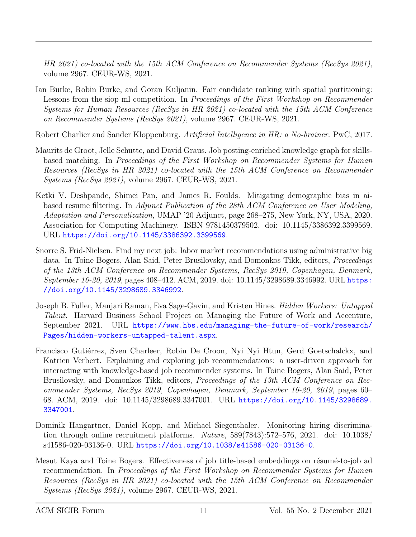HR 2021) co-located with the 15th ACM Conference on Recommender Systems (RecSys 2021), volume 2967. CEUR-WS, 2021.

<span id="page-10-6"></span>Ian Burke, Robin Burke, and Goran Kuljanin. Fair candidate ranking with spatial partitioning: Lessons from the siop ml competition. In Proceedings of the First Workshop on Recommender Systems for Human Resources (RecSys in HR 2021) co-located with the 15th ACM Conference on Recommender Systems (RecSys 2021), volume 2967. CEUR-WS, 2021.

<span id="page-10-0"></span>Robert Charlier and Sander Kloppenburg. Artificial Intelligence in HR: a No-brainer. PwC, 2017.

- <span id="page-10-4"></span>Maurits de Groot, Jelle Schutte, and David Graus. Job posting-enriched knowledge graph for skillsbased matching. In Proceedings of the First Workshop on Recommender Systems for Human Resources (RecSys in HR 2021) co-located with the 15th ACM Conference on Recommender Systems (RecSys 2021), volume 2967. CEUR-WS, 2021.
- <span id="page-10-1"></span>Ketki V. Deshpande, Shimei Pan, and James R. Foulds. Mitigating demographic bias in aibased resume filtering. In Adjunct Publication of the 28th ACM Conference on User Modeling, Adaptation and Personalization, UMAP '20 Adjunct, page 268–275, New York, NY, USA, 2020. Association for Computing Machinery. ISBN 9781450379502. doi: 10.1145/3386392.3399569. URL <https://doi.org/10.1145/3386392.3399569>.
- <span id="page-10-2"></span>Snorre S. Frid-Nielsen. Find my next job: labor market recommendations using administrative big data. In Toine Bogers, Alan Said, Peter Brusilovsky, and Domonkos Tikk, editors, Proceedings of the 13th ACM Conference on Recommender Systems, RecSys 2019, Copenhagen, Denmark, September 16-20, 2019, pages 408–412. ACM, 2019. doi: 10.1145/3298689.3346992. URL [https:](https://doi.org/10.1145/3298689.3346992) [//doi.org/10.1145/3298689.3346992](https://doi.org/10.1145/3298689.3346992).
- <span id="page-10-8"></span>Joseph B. Fuller, Manjari Raman, Eva Sage-Gavin, and Kristen Hines. Hidden Workers: Untapped Talent. Harvard Business School Project on Managing the Future of Work and Accenture, September 2021. URL [https://www.hbs.edu/managing-the-future-of-work/research/](https://www.hbs.edu/managing-the-future-of-work/research/Pages/hidden-workers-untapped-talent.aspx) [Pages/hidden-workers-untapped-talent.aspx](https://www.hbs.edu/managing-the-future-of-work/research/Pages/hidden-workers-untapped-talent.aspx).
- <span id="page-10-3"></span>Francisco Gutiérrez, Sven Charleer, Robin De Croon, Nyi Nyi Htun, Gerd Goetschalckx, and Katrien Verbert. Explaining and exploring job recommendations: a user-driven approach for interacting with knowledge-based job recommender systems. In Toine Bogers, Alan Said, Peter Brusilovsky, and Domonkos Tikk, editors, Proceedings of the 13th ACM Conference on Recommender Systems, RecSys 2019, Copenhagen, Denmark, September 16-20, 2019, pages 60– 68. ACM, 2019. doi: 10.1145/3298689.3347001. URL [https://doi.org/10.1145/3298689.](https://doi.org/10.1145/3298689.3347001) [3347001](https://doi.org/10.1145/3298689.3347001).
- <span id="page-10-7"></span>Dominik Hangartner, Daniel Kopp, and Michael Siegenthaler. Monitoring hiring discrimination through online recruitment platforms. Nature, 589(7843):572–576, 2021. doi: 10.1038/ s41586-020-03136-0. URL <https://doi.org/10.1038/s41586-020-03136-0>.
- <span id="page-10-5"></span>Mesut Kaya and Toine Bogers. Effectiveness of job title-based embeddings on résumé-to-job ad recommendation. In Proceedings of the First Workshop on Recommender Systems for Human Resources (RecSys in HR 2021) co-located with the 15th ACM Conference on Recommender Systems (RecSys 2021), volume 2967. CEUR-WS, 2021.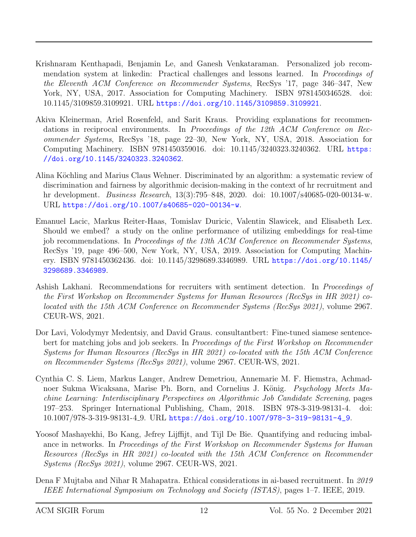- <span id="page-11-0"></span>Krishnaram Kenthapadi, Benjamin Le, and Ganesh Venkataraman. Personalized job recommendation system at linkedin: Practical challenges and lessons learned. In Proceedings of the Eleventh ACM Conference on Recommender Systems, RecSys '17, page 346–347, New York, NY, USA, 2017. Association for Computing Machinery. ISBN 9781450346528. doi: 10.1145/3109859.3109921. URL <https://doi.org/10.1145/3109859.3109921>.
- <span id="page-11-4"></span>Akiva Kleinerman, Ariel Rosenfeld, and Sarit Kraus. Providing explanations for recommendations in reciprocal environments. In Proceedings of the 12th ACM Conference on Recommender Systems, RecSys '18, page 22–30, New York, NY, USA, 2018. Association for Computing Machinery. ISBN 9781450359016. doi: 10.1145/3240323.3240362. URL [https:](https://doi.org/10.1145/3240323.3240362) [//doi.org/10.1145/3240323.3240362](https://doi.org/10.1145/3240323.3240362).
- <span id="page-11-2"></span>Alina Köchling and Marius Claus Wehner. Discriminated by an algorithm: a systematic review of discrimination and fairness by algorithmic decision-making in the context of hr recruitment and hr development. Business Research, 13(3):795–848, 2020. doi: 10.1007/s40685-020-00134-w. URL <https://doi.org/10.1007/s40685-020-00134-w>.
- <span id="page-11-5"></span>Emanuel Lacic, Markus Reiter-Haas, Tomislav Duricic, Valentin Slawicek, and Elisabeth Lex. Should we embed? a study on the online performance of utilizing embeddings for real-time job recommendations. In Proceedings of the 13th ACM Conference on Recommender Systems, RecSys '19, page 496–500, New York, NY, USA, 2019. Association for Computing Machinery. ISBN 9781450362436. doi: 10.1145/3298689.3346989. URL [https://doi.org/10.1145/](https://doi.org/10.1145/3298689.3346989) [3298689.3346989](https://doi.org/10.1145/3298689.3346989).
- <span id="page-11-8"></span>Ashish Lakhani. Recommendations for recruiters with sentiment detection. In Proceedings of the First Workshop on Recommender Systems for Human Resources (RecSys in HR 2021) colocated with the 15th ACM Conference on Recommender Systems (RecSys 2021), volume 2967. CEUR-WS, 2021.
- <span id="page-11-7"></span>Dor Lavi, Volodymyr Medentsiy, and David Graus. consultantbert: Fine-tuned siamese sentencebert for matching jobs and job seekers. In Proceedings of the First Workshop on Recommender Systems for Human Resources (RecSys in HR 2021) co-located with the 15th ACM Conference on Recommender Systems (RecSys 2021), volume 2967. CEUR-WS, 2021.
- <span id="page-11-1"></span>Cynthia C. S. Liem, Markus Langer, Andrew Demetriou, Annemarie M. F. Hiemstra, Achmadnoer Sukma Wicaksana, Marise Ph. Born, and Cornelius J. König. *Psychology Meets Ma*chine Learning: Interdisciplinary Perspectives on Algorithmic Job Candidate Screening, pages 197–253. Springer International Publishing, Cham, 2018. ISBN 978-3-319-98131-4. doi: 10.1007/978-3-319-98131-4 9. URL [https://doi.org/10.1007/978-3-319-98131-4\\_9](https://doi.org/10.1007/978-3-319-98131-4_9).
- <span id="page-11-6"></span>Yoosof Mashayekhi, Bo Kang, Jefrey Lijffijt, and Tijl De Bie. Quantifying and reducing imbalance in networks. In Proceedings of the First Workshop on Recommender Systems for Human Resources (RecSys in HR 2021) co-located with the 15th ACM Conference on Recommender Systems (RecSys 2021), volume 2967. CEUR-WS, 2021.
- <span id="page-11-3"></span>Dena F Mujtaba and Nihar R Mahapatra. Ethical considerations in ai-based recruitment. In 2019 IEEE International Symposium on Technology and Society (ISTAS), pages 1–7. IEEE, 2019.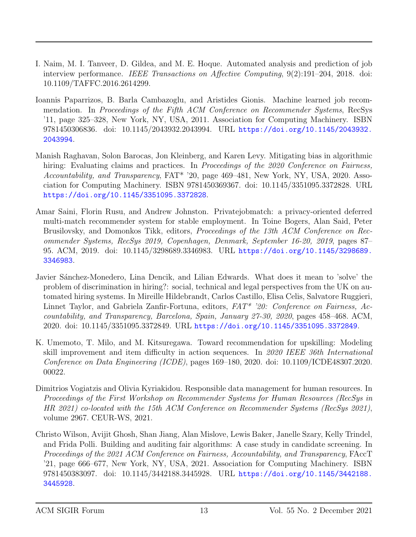- <span id="page-12-1"></span>I. Naim, M. I. Tanveer, D. Gildea, and M. E. Hoque. Automated analysis and prediction of job interview performance. IEEE Transactions on Affective Computing, 9(2):191–204, 2018. doi: 10.1109/TAFFC.2016.2614299.
- <span id="page-12-6"></span>Ioannis Paparrizos, B. Barla Cambazoglu, and Aristides Gionis. Machine learned job recommendation. In Proceedings of the Fifth ACM Conference on Recommender Systems, RecSys '11, page 325–328, New York, NY, USA, 2011. Association for Computing Machinery. ISBN 9781450306836. doi: 10.1145/2043932.2043994. URL [https://doi.org/10.1145/2043932.](https://doi.org/10.1145/2043932.2043994) [2043994](https://doi.org/10.1145/2043932.2043994).
- <span id="page-12-3"></span>Manish Raghavan, Solon Barocas, Jon Kleinberg, and Karen Levy. Mitigating bias in algorithmic hiring: Evaluating claims and practices. In Proceedings of the 2020 Conference on Fairness, Accountability, and Transparency,  $FAT^*$  '20, page 469–481, New York, NY, USA, 2020. Association for Computing Machinery. ISBN 9781450369367. doi: 10.1145/3351095.3372828. URL <https://doi.org/10.1145/3351095.3372828>.
- <span id="page-12-5"></span>Amar Saini, Florin Rusu, and Andrew Johnston. Privatejobmatch: a privacy-oriented deferred multi-match recommender system for stable employment. In Toine Bogers, Alan Said, Peter Brusilovsky, and Domonkos Tikk, editors, Proceedings of the 13th ACM Conference on Recommender Systems, RecSys 2019, Copenhagen, Denmark, September 16-20, 2019, pages 87– 95. ACM, 2019. doi: 10.1145/3298689.3346983. URL [https://doi.org/10.1145/3298689.](https://doi.org/10.1145/3298689.3346983) [3346983](https://doi.org/10.1145/3298689.3346983).
- <span id="page-12-4"></span>Javier Sánchez-Monedero, Lina Dencik, and Lilian Edwards. What does it mean to 'solve' the problem of discrimination in hiring?: social, technical and legal perspectives from the UK on automated hiring systems. In Mireille Hildebrandt, Carlos Castillo, Elisa Celis, Salvatore Ruggieri, Linnet Taylor, and Gabriela Zanfir-Fortuna, editors,  $FAT^*$  '20: Conference on Fairness, Accountability, and Transparency, Barcelona, Spain, January 27-30, 2020, pages 458–468. ACM, 2020. doi: 10.1145/3351095.3372849. URL <https://doi.org/10.1145/3351095.3372849>.
- <span id="page-12-2"></span>K. Umemoto, T. Milo, and M. Kitsuregawa. Toward recommendation for upskilling: Modeling skill improvement and item difficulty in action sequences. In 2020 IEEE 36th International Conference on Data Engineering (ICDE), pages 169–180, 2020. doi: 10.1109/ICDE48307.2020. 00022.
- <span id="page-12-7"></span>Dimitrios Vogiatzis and Olivia Kyriakidou. Responsible data management for human resources. In Proceedings of the First Workshop on Recommender Systems for Human Resources (RecSys in HR 2021) co-located with the 15th ACM Conference on Recommender Systems (RecSys 2021), volume 2967. CEUR-WS, 2021.
- <span id="page-12-0"></span>Christo Wilson, Avijit Ghosh, Shan Jiang, Alan Mislove, Lewis Baker, Janelle Szary, Kelly Trindel, and Frida Polli. Building and auditing fair algorithms: A case study in candidate screening. In Proceedings of the 2021 ACM Conference on Fairness, Accountability, and Transparency, FAccT '21, page 666–677, New York, NY, USA, 2021. Association for Computing Machinery. ISBN 9781450383097. doi: 10.1145/3442188.3445928. URL [https://doi.org/10.1145/3442188.](https://doi.org/10.1145/3442188.3445928) [3445928](https://doi.org/10.1145/3442188.3445928).